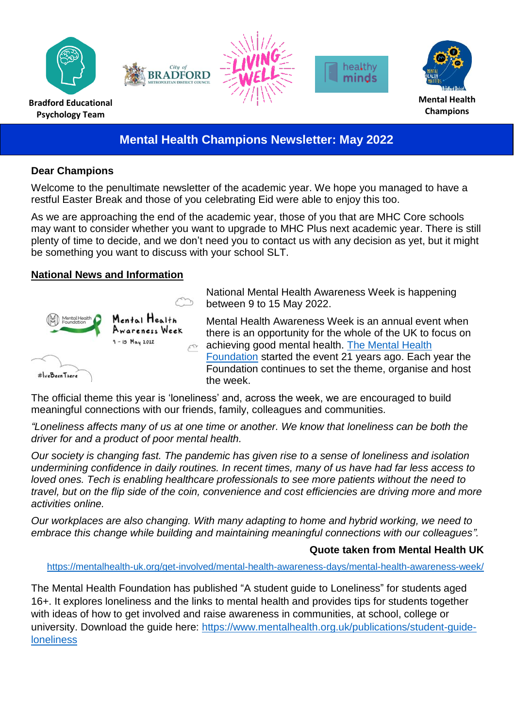

# **Mental Health Champions Newsletter: May 2022**

#### **Dear Champions**

Welcome to the penultimate newsletter of the academic year. We hope you managed to have a restful Easter Break and those of you celebrating Eid were able to enjoy this too.

As we are approaching the end of the academic year, those of you that are MHC Core schools may want to consider whether you want to upgrade to MHC Plus next academic year. There is still plenty of time to decide, and we don't need you to contact us with any decision as yet, but it might be something you want to discuss with your school SLT.

#### **National News and Information**



National Mental Health Awareness Week is happening between 9 to 15 May 2022.

Mental Health Awareness Week is an annual event when there is an opportunity for the whole of the UK to focus on achieving good mental health. [The Mental Health](https://www.mentalhealth.org.uk/campaigns/mental-health-awareness-week#:~:text=9%2D15%20May%202022%20%2D%20Loneliness&text=Mental%20Health%20Awareness%20Week%20is,organise%20and%20host%20the%20week.)  [Foundation](https://www.mentalhealth.org.uk/campaigns/mental-health-awareness-week#:~:text=9%2D15%20May%202022%20%2D%20Loneliness&text=Mental%20Health%20Awareness%20Week%20is,organise%20and%20host%20the%20week.) started the event 21 years ago. Each year the Foundation continues to set the theme, organise and host the week.

The official theme this year is 'loneliness' and, across the week, we are encouraged to build meaningful connections with our friends, family, colleagues and communities.

*"Loneliness affects many of us at one time or another. We know that loneliness can be both the driver for and a product of poor mental health.*

*Our society is changing fast. The pandemic has given rise to a sense of loneliness and isolation undermining confidence in daily routines. In recent times, many of us have had far less access to loved ones. Tech is enabling healthcare professionals to see more patients without the need to travel, but on the flip side of the coin, convenience and cost efficiencies are driving more and more activities online.*

*Our workplaces are also changing. With many adapting to home and hybrid working, we need to embrace this change while building and maintaining meaningful connections with our colleagues".*

#### **Quote taken from Mental Health UK**

<https://mentalhealth-uk.org/get-involved/mental-health-awareness-days/mental-health-awareness-week/>

The Mental Health Foundation has published "A student guide to Loneliness" for students aged 16+. It explores loneliness and the links to mental health and provides tips for students together with ideas of how to get involved and raise awareness in communities, at school, college or university. Download the guide here: [https://www.mentalhealth.org.uk/publications/student-guide](https://www.mentalhealth.org.uk/publications/student-guide-loneliness)[loneliness](https://www.mentalhealth.org.uk/publications/student-guide-loneliness)